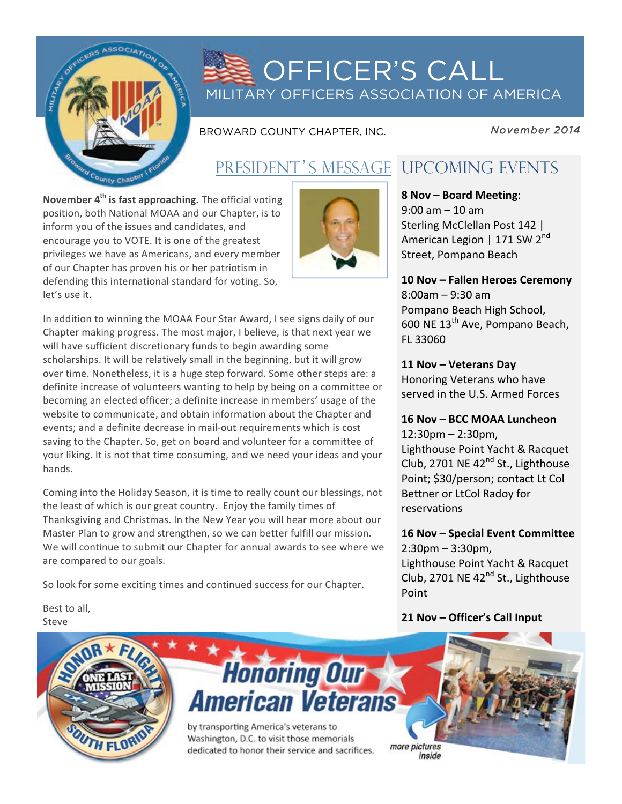

# **OFFICER'S CALL** MILITARY OFFICERS ASSOCIATION OF AMERICA

BROWARD COUNTY CHAPTER, INC.

November 2014

## PRESIDENT'S MESSAGE UPCOMING EVENTS

November 4<sup>th</sup> is fast approaching. The official voting position, both National MOAA and our Chapter, is to inform you of the issues and candidates, and encourage you to VOTE. It is one of the greatest privileges we have as Americans, and every member of our Chapter has proven his or her patriotism in defending this international standard for voting. So, let's use it.



In addition to winning the MOAA Four Star Award, I see signs daily of our Chapter making progress. The most major, I believe, is that next year we will have sufficient discretionary funds to begin awarding some scholarships. It will be relatively small in the beginning, but it will grow over time. Nonetheless, it is a huge step forward. Some other steps are: a definite increase of volunteers wanting to help by being on a committee or becoming an elected officer; a definite increase in members' usage of the website to communicate, and obtain information about the Chapter and events; and a definite decrease in mail-out requirements which is cost saving to the Chapter. So, get on board and volunteer for a committee of your liking. It is not that time consuming, and we need your ideas and your hands.

Coming into the Holiday Season, it is time to really count our blessings, not the least of which is our great country. Enjoy the family times of Thanksgiving and Christmas. In the New Year you will hear more about our Master Plan to grow and strengthen, so we can better fulfill our mission. We will continue to submit our Chapter for annual awards to see where we are compared to our goals.

So look for some exciting times and continued success for our Chapter.

Best to all, Steve



8 Nov - Board Meeting:  $9:00$  am  $-10$  am Sterling McClellan Post 142 | American Legion | 171 SW 2<sup>nd</sup> Street, Pompano Beach

### 10 Nov - Fallen Heroes Ceremony  $8:00$ am - 9:30 am Pompano Beach High School, 600 NE 13<sup>th</sup> Ave, Pompano Beach, FL 33060

## 11 Nov - Veterans Day

Honoring Veterans who have served in the U.S. Armed Forces

### 16 Nov - BCC MOAA Luncheon

 $12:30$ pm –  $2:30$ pm, Lighthouse Point Yacht & Racquet Club, 2701 NE 42<sup>nd</sup> St., Lighthouse Point; \$30/person; contact Lt Col Bettner or LtCol Radoy for reservations

## 16 Nov - Special Event Committee  $2:30$ pm –  $3:30$ pm,

Lighthouse Point Yacht & Racquet Club, 2701 NE 42<sup>nd</sup> St., Lighthouse Point

### 21 Nov - Officer's Call Input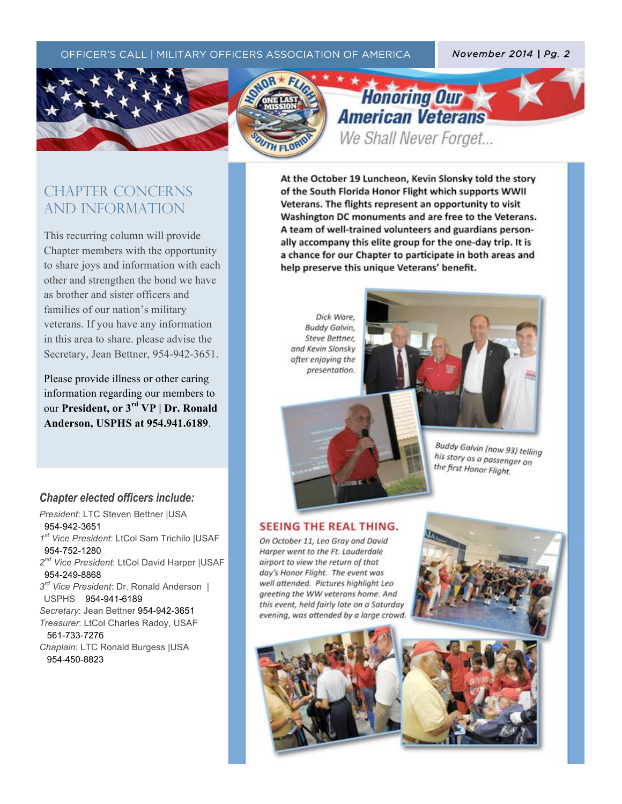#### OFFICER'S CALL | MILITARY OFFICERS ASSOCIATION OF AMERICA *November 2014 | Pg. 2*





 $\mathcal{T}_{\mathcal{A}}$  (the text)  $\mathcal{T}_{\mathcal{A}}$  (the text)  $\mathcal{T}_{\mathcal{A}}$  (the text)  $\mathcal{T}_{\mathcal{A}}$  (the text)  $\mathcal{T}_{\mathcal{A}}$ 

## **Honorthg Our American Veterans** We Shall Never Forget...

## CHAPTER CONCERNs AND INFORMATION

This recurring column will provide Chapter members with the opportunity to share joys and information with each other and strengthen the bond we have as brother and sister officers and families of our nation's military veterans. If you have any information in this area to share. please advise the Secretary, Jean Bettner, 954-942-3651.

Please provide illness or other caring information regarding our members to our **President, or 3rd VP | Dr. Ronald Anderson, USPHS at 954.941.6189**.

At the October 19 Luncheon, Kevin Slonsky told the story of the South Florida Honor Flight which supports WWII Veterans. The flights represent an opportunity to visit Washington DC monuments and are free to the Veterans. A team of well-trained volunteers and guardians personally accompany this elite group for the one-day trip. It is a chance for our Chapter to participate in both areas and help preserve this unique Veterans' benefit.

Dick Ware, Buddy Galvin, Steve Bettner, and Kevin Slonsky after enjoying the presentation.



Buddy Galvin (now 93) telling<br>his story as his story as a passenger on the first Honor Flight.

#### *Chapter elected officers include:*

*President*: LTC Steven Bettner |USA 954-942-3651 *1st Vice President*: LtCol Sam Trichilo |USAF 954-752-1280 *2nd Vice President*: LtCol David Harper |USAF 954-249-8868 *3rd Vice President*: Dr. Ronald Anderson | USPHS 954-941-6189 *Secretary*: Jean Bettner 954-942-3651 *Treasurer*: LtCol Charles Radoy, USAF 561-733-7276

*Chaplain*: LTC Ronald Burgess |USA 954-450-8823

#### **SEEING THE REAL THING.**

On October 11, Leo Gray and David Harper went to the Ft. Lauderdale airport to view the return of that day's Honor Flight. The event was well attended. Pictures highlight Leo greeting the WW veterans home. And this event, held fairly late on a Saturday evening, was attended by a large crowd.



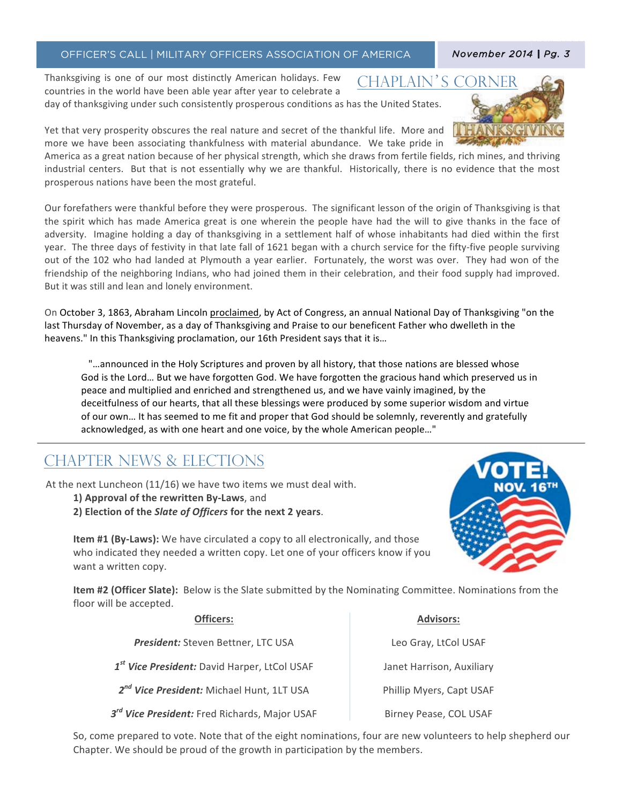#### OFFICER'S CALL | MILITARY OFFICERS ASSOCIATION OF AMERICA

Thanksgiving is one of our most distinctly American holidays. Few **CHAPLAIN'S** countries in the world have been able year after year to celebrate a day of thanksgiving under such consistently prosperous conditions as has the United States.

Yet that very prosperity obscures the real nature and secret of the thankful life. More and more we have been associating thankfulness with material abundance. We take pride in

America as a great nation because of her physical strength, which she draws from fertile fields, rich mines, and thriving industrial centers. But that is not essentially why we are thankful. Historically, there is no evidence that the most prosperous nations have been the most grateful.

Our forefathers were thankful before they were prosperous. The significant lesson of the origin of Thanksgiving is that the spirit which has made America great is one wherein the people have had the will to give thanks in the face of adversity. Imagine holding a day of thanksgiving in a settlement half of whose inhabitants had died within the first year. The three days of festivity in that late fall of 1621 began with a church service for the fifty-five people surviving out of the 102 who had landed at Plymouth a year earlier. Fortunately, the worst was over. They had won of the friendship of the neighboring Indians, who had joined them in their celebration, and their food supply had improved. But it was still and lean and lonely environment.

On October 3, 1863, Abraham Lincoln proclaimed, by Act of Congress, an annual National Day of Thanksgiving "on the last Thursday of November, as a day of Thanksgiving and Praise to our beneficent Father who dwelleth in the heavens." In this Thanksgiving proclamation, our 16th President says that it is...

announced in the Holy Scriptures and proven by all history, that those nations are blessed whose." God is the Lord... But we have forgotten God. We have forgotten the gracious hand which preserved us in peace and multiplied and enriched and strengthened us, and we have vainly imagined, by the deceitfulness of our hearts, that all these blessings were produced by some superior wisdom and virtue of our own... It has seemed to me fit and proper that God should be solemnly, reverently and gratefully acknowledged, as with one heart and one voice, by the whole American people..."

## **CHAPTER NEWS & ELECTIONS**

At the next Luncheon (11/16) we have two items we must deal with.

- 1) Approval of the rewritten By-Laws, and
- 2) Election of the Slate of Officers for the next 2 years.

 $Officarc$ 

**Item #1 (By-Laws):** We have circulated a copy to all electronically, and those who indicated they needed a written copy. Let one of your officers know if you want a written copy.

Item #2 (Officer Slate): Below is the Slate submitted by the Nominating Committee. Nominations from the floor will be accepted.

| -------                                                   | <b>______</b>             |
|-----------------------------------------------------------|---------------------------|
| President: Steven Bettner, LTC USA                        | Leo Gray, LtCol USAF      |
| 1 <sup>st</sup> Vice President: David Harper, LtCol USAF  | Janet Harrison, Auxiliary |
| 2 <sup>nd</sup> Vice President: Michael Hunt, 1LT USA     | Phillip Myers, Capt USAF  |
| 3 <sup>rd</sup> Vice President: Fred Richards, Major USAF | Birney Pease, COL USAF    |

So, come prepared to vote. Note that of the eight nominations, four are new volunteers to help shepherd our Chapter. We should be proud of the growth in participation by the members.



Advisors<sup>.</sup>



#### November 2014 | Pg. 3